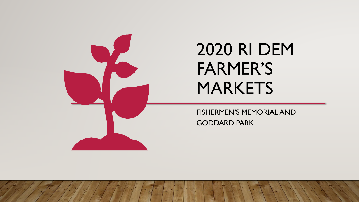

# 2020 RI DEM FARMER'S MARKETS

FISHERMEN'S MEMORIAL AND GODDARD PARK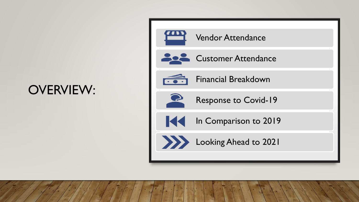# OVERVIEW:



#### Vendor Attendance







Financial Breakdown



Response to Covid-19



In Comparison to 2019



Looking Ahead to 2021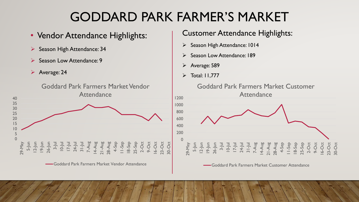# GODDARD PARK FARMER'S MARKET

- Vendor Attendance Highlights:
- ➢ Season High Attendance: 34
- Season Low Attendance: 9
- ➢ Average: 24



Goddard Park Farmers Market Vendor Attendance

#### Customer Attendance Highlights:

- ➢ Season High Attendance: 1014
- Season Low Attendance: 189
- ➢ Average: 589
- $\triangleright$  Total: 11,777



Goddard Park Farmers Market Customer Attendance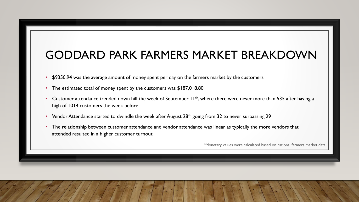### GODDARD PARK FARMERS MARKET BREAKDOWN

- \$9350.94 was the average amount of money spent per day on the farmers market by the customers
- The estimated total of money spent by the customers was \$187,018.80
- Customer attendance trended down hill the week of September  $11^{th}$ , where there were never more than 535 after having a high of 1014 customers the week before
- Vendor Attendance started to dwindle the week after August  $28<sup>th</sup>$  going from 32 to never surpassing 29
- The relationship between customer attendance and vendor attendance was linear as typically the more vendors that attended resulted in a higher customer turnout

\*Monetary values were calculated based on national farmers market data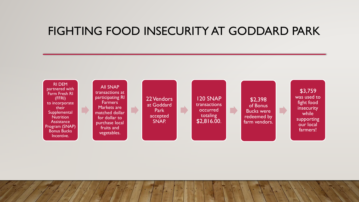### FIGHTING FOOD INSECURITY AT GODDARD PARK

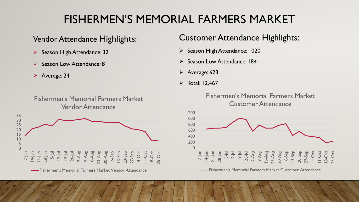## FISHERMEN'S MEMORIAL FARMERS MARKET

#### Vendor Attendance Highlights:

- ➢ Season High Attendance: 32
- Season Low Attendance: 8
- ➢ Average: 24

Fishermen's Memorial Farmers Market Vendor Attendance



#### Customer Attendance Highlights:

- ➢ Season High Attendance: 1020
- Season Low Attendance: 184
- ➢ Average: 623
- $\triangleright$  Total: 12,467

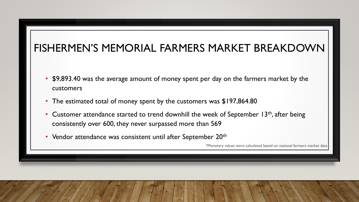### FISHERMEN'S MEMORIAL FARMERS MARKET BREAKDOWN

- \$9,893.40 was the average amount of money spent per day on the farmers market by the customers
- The estimated total of money spent by the customers was \$197,864.80
- Customer attendance started to trend downhill the week of September 13<sup>th</sup>, after being consistently over 600, they never surpassed more than 569
- Vendor attendance was consistent until after September 20<sup>th</sup>

\*Monetary values were calculated based on national farmers market data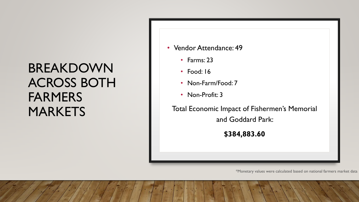# BREAKDOWN ACROSS BOTH FARMERS MARKETS

- Vendor Attendance: 49
	- Farms: 23
	- Food: 16
	- Non-Farm/Food: 7
	- Non-Profit: 3

Total Economic Impact of Fishermen's Memorial and Goddard Park:

**\$384,883.60**

\*Monetary values were calculated based on national farmers market data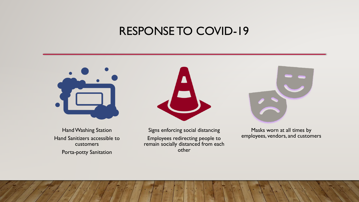### RESPONSE TO COVID-19



Hand Washing Station Hand Sanitizers accessible to customers Porta-potty Sanitation



Signs enforcing social distancing Employees redirecting people to remain socially distanced from each other



Masks worn at all times by employees, vendors, and customers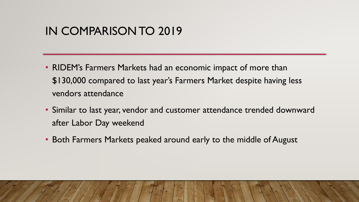### IN COMPARISON TO 2019

- RIDEM's Farmers Markets had an economic impact of more than \$130,000 compared to last year's Farmers Market despite having less vendors attendance
- Similar to last year, vendor and customer attendance trended downward after Labor Day weekend
- Both Farmers Markets peaked around early to the middle of August